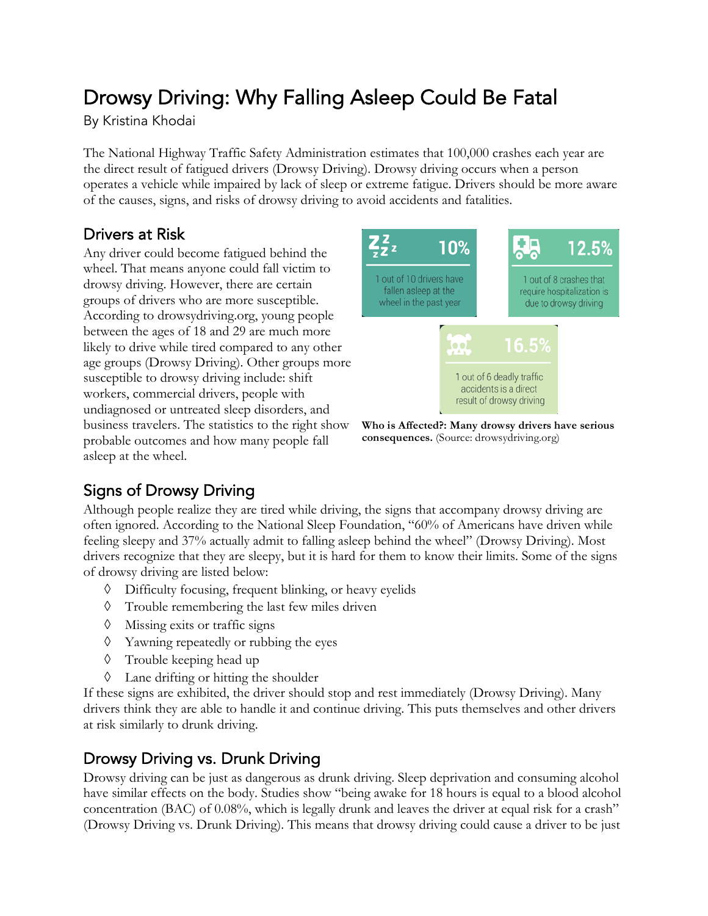# Drowsy Driving: Why Falling Asleep Could Be Fatal

By Kristina Khodai

The National Highway Traffic Safety Administration estimates that 100,000 crashes each year are the direct result of fatigued drivers (Drowsy Driving). Drowsy driving occurs when a person operates a vehicle while impaired by lack of sleep or extreme fatigue. Drivers should be more aware of the causes, signs, and risks of drowsy driving to avoid accidents and fatalities.

#### Drivers at Risk

Any driver could become fatigued behind the wheel. That means anyone could fall victim to drowsy driving. However, there are certain groups of drivers who are more susceptible. According to drowsydriving.org, young people between the ages of 18 and 29 are much more likely to drive while tired compared to any other age groups (Drowsy Driving). Other groups more susceptible to drowsy driving include: shift workers, commercial drivers, people with undiagnosed or untreated sleep disorders, and business travelers. The statistics to the right show probable outcomes and how many people fall asleep at the wheel.



**Who is Affected?: Many drowsy drivers have serious consequences.** (Source: drowsydriving.org)

## Signs of Drowsy Driving

Although people realize they are tired while driving, the signs that accompany drowsy driving are often ignored. According to the National Sleep Foundation, "60% of Americans have driven while feeling sleepy and 37% actually admit to falling asleep behind the wheel" (Drowsy Driving). Most drivers recognize that they are sleepy, but it is hard for them to know their limits. Some of the signs of drowsy driving are listed below:

- à Difficulty focusing, frequent blinking, or heavy eyelids
- à Trouble remembering the last few miles driven
- $\Diamond$  Missing exits or traffic signs
- $\Diamond$  Yawning repeatedly or rubbing the eyes
- à Trouble keeping head up
- $\Diamond$  Lane drifting or hitting the shoulder

If these signs are exhibited, the driver should stop and rest immediately (Drowsy Driving). Many drivers think they are able to handle it and continue driving. This puts themselves and other drivers at risk similarly to drunk driving.

#### Drowsy Driving vs. Drunk Driving

Drowsy driving can be just as dangerous as drunk driving. Sleep deprivation and consuming alcohol have similar effects on the body. Studies show "being awake for 18 hours is equal to a blood alcohol concentration (BAC) of 0.08%, which is legally drunk and leaves the driver at equal risk for a crash" (Drowsy Driving vs. Drunk Driving). This means that drowsy driving could cause a driver to be just